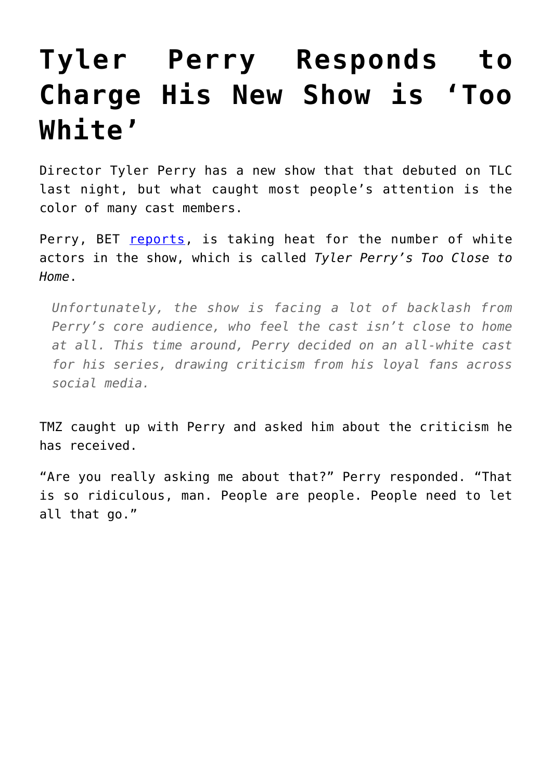## **[Tyler Perry Responds to](https://intellectualtakeout.org/2016/08/tyler-perry-responds-to-charge-his-new-show-is-too-white/) [Charge His New Show is 'Too](https://intellectualtakeout.org/2016/08/tyler-perry-responds-to-charge-his-new-show-is-too-white/) [White'](https://intellectualtakeout.org/2016/08/tyler-perry-responds-to-charge-his-new-show-is-too-white/)**

Director Tyler Perry has a new show that that debuted on TLC last night, but what caught most people's attention is the color of many cast members.

Perry, BET [reports,](http://www.bet.com/celebrities/news/2016/08/23/tyler-perry-claps-back.html) is taking heat for the number of white actors in the show, which is called *Tyler Perry's Too Close to Home*.

*Unfortunately, the show is facing a lot of backlash from Perry's core audience, who feel the cast isn't close to home at all. This time around, Perry decided on an all-white cast for his series, drawing criticism from his loyal fans across social media.*

TMZ caught up with Perry and asked him about the criticism he has received.

"Are you really asking me about that?" Perry responded. "That is so ridiculous, man. People are people. People need to let all that go."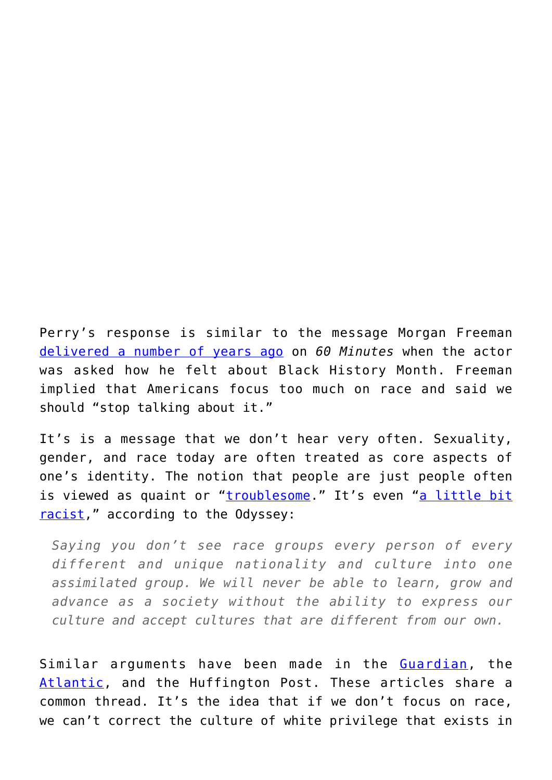Perry's response is similar to the message Morgan Freeman [delivered a number of years ago](https://www.intellectualtakeout.org/blog/morgan-freeman-destroys-black-history-month) on *60 Minutes* when the actor was asked how he felt about Black History Month. Freeman implied that Americans focus too much on race and said we should "stop talking about it."

It's is a message that we don't hear very often. Sexuality, gender, and race today are often treated as core aspects of one's identity. The notion that people are just people often is viewed as quaint or "[troublesome](http://www.huffingtonpost.com/hilary-holland-lorenzo/i-dont-see-color_b_8401552.html)." It's even "[a little bit](https://www.theodysseyonline.com/why-saying-you-dont-see-race-actually-little-bit-racist) [racist](https://www.theodysseyonline.com/why-saying-you-dont-see-race-actually-little-bit-racist)," according to the Odyssey:

*Saying you don't see race groups every person of every different and unique nationality and culture into one assimilated group. We will never be able to learn, grow and advance as a society without the ability to express our culture and accept cultures that are different from our own.*

Similar arguments have been made in the [Guardian,](https://www.theguardian.com/commentisfree/2015/jan/26/do-not-see-race-ignoring-racism-not-helping) the [Atlantic](http://www.theatlantic.com/politics/archive/2015/09/color-blindness-is-counterproductive/405037/), and the Huffington Post. These articles share a common thread. It's the idea that if we don't focus on race, we can't correct the culture of white privilege that exists in